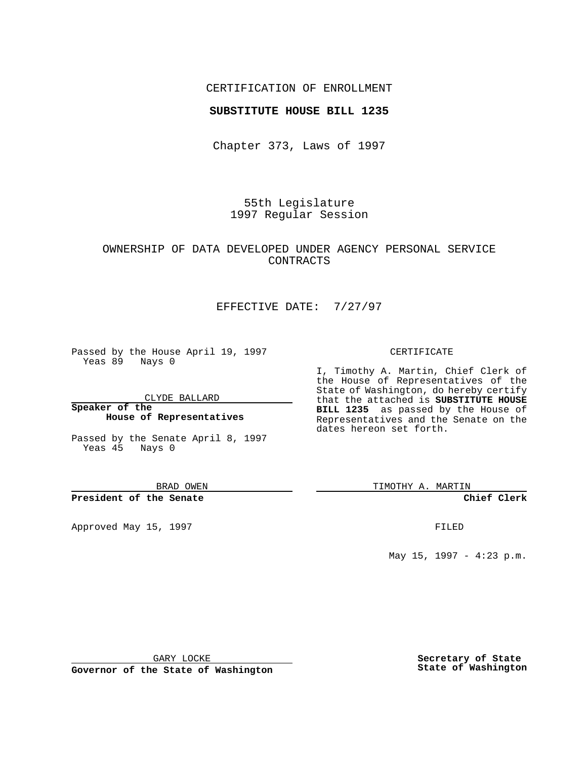## CERTIFICATION OF ENROLLMENT

### **SUBSTITUTE HOUSE BILL 1235**

Chapter 373, Laws of 1997

55th Legislature 1997 Regular Session

# OWNERSHIP OF DATA DEVELOPED UNDER AGENCY PERSONAL SERVICE CONTRACTS

# EFFECTIVE DATE: 7/27/97

Passed by the House April 19, 1997 Yeas 89 Nays 0

CLYDE BALLARD

**Speaker of the House of Representatives**

Passed by the Senate April 8, 1997 Yeas 45 Nays 0

BRAD OWEN

**President of the Senate**

Approved May 15, 1997 **FILED** 

#### CERTIFICATE

I, Timothy A. Martin, Chief Clerk of the House of Representatives of the State of Washington, do hereby certify that the attached is **SUBSTITUTE HOUSE BILL 1235** as passed by the House of Representatives and the Senate on the dates hereon set forth.

TIMOTHY A. MARTIN

**Chief Clerk**

May 15, 1997 - 4:23 p.m.

GARY LOCKE

**Governor of the State of Washington**

**Secretary of State State of Washington**